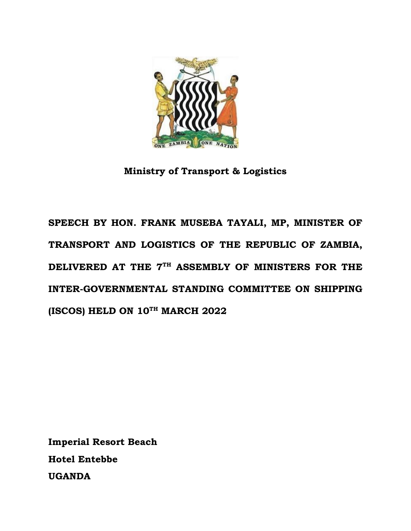

**Ministry of Transport & Logistics**

**SPEECH BY HON. FRANK MUSEBA TAYALI, MP, MINISTER OF TRANSPORT AND LOGISTICS OF THE REPUBLIC OF ZAMBIA, DELIVERED AT THE 7TH ASSEMBLY OF MINISTERS FOR THE INTER-GOVERNMENTAL STANDING COMMITTEE ON SHIPPING (ISCOS) HELD ON 10TH MARCH 2022** 

**Imperial Resort Beach Hotel Entebbe UGANDA**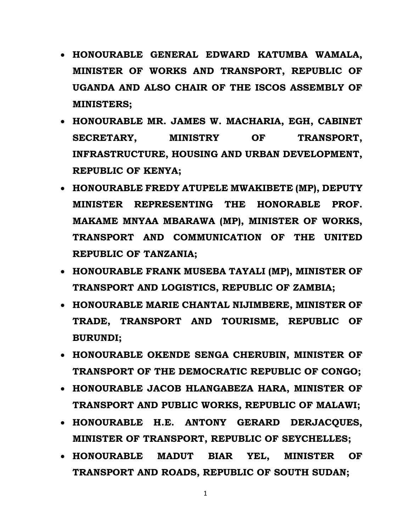- **HONOURABLE GENERAL EDWARD KATUMBA WAMALA, MINISTER OF WORKS AND TRANSPORT, REPUBLIC OF UGANDA AND ALSO CHAIR OF THE ISCOS ASSEMBLY OF MINISTERS;**
- **HONOURABLE MR. JAMES W. MACHARIA, EGH, CABINET SECRETARY, MINISTRY OF TRANSPORT, INFRASTRUCTURE, HOUSING AND URBAN DEVELOPMENT, REPUBLIC OF KENYA;**
- **HONOURABLE FREDY ATUPELE MWAKIBETE (MP), DEPUTY MINISTER REPRESENTING THE HONORABLE PROF. MAKAME MNYAA MBARAWA (MP), MINISTER OF WORKS, TRANSPORT AND COMMUNICATION OF THE UNITED REPUBLIC OF TANZANIA;**
- **HONOURABLE FRANK MUSEBA TAYALI (MP), MINISTER OF TRANSPORT AND LOGISTICS, REPUBLIC OF ZAMBIA;**
- **HONOURABLE MARIE CHANTAL NIJIMBERE, MINISTER OF TRADE, TRANSPORT AND TOURISME, REPUBLIC OF BURUNDI;**
- **HONOURABLE OKENDE SENGA CHERUBIN, MINISTER OF TRANSPORT OF THE DEMOCRATIC REPUBLIC OF CONGO;**
- **HONOURABLE JACOB HLANGABEZA HARA, MINISTER OF TRANSPORT AND PUBLIC WORKS, REPUBLIC OF MALAWI;**
- **HONOURABLE H.E. ANTONY GERARD DERJACQUES, MINISTER OF TRANSPORT, REPUBLIC OF SEYCHELLES;**
- **HONOURABLE MADUT BIAR YEL, MINISTER OF TRANSPORT AND ROADS, REPUBLIC OF SOUTH SUDAN;**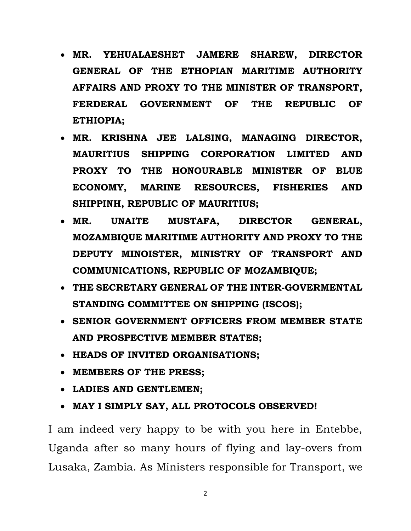- **MR. YEHUALAESHET JAMERE SHAREW, DIRECTOR GENERAL OF THE ETHOPIAN MARITIME AUTHORITY AFFAIRS AND PROXY TO THE MINISTER OF TRANSPORT, FERDERAL GOVERNMENT OF THE REPUBLIC OF ETHIOPIA;**
- **MR. KRISHNA JEE LALSING, MANAGING DIRECTOR, MAURITIUS SHIPPING CORPORATION LIMITED AND PROXY TO THE HONOURABLE MINISTER OF BLUE ECONOMY, MARINE RESOURCES, FISHERIES AND SHIPPINH, REPUBLIC OF MAURITIUS;**
- **MR. UNAITE MUSTAFA, DIRECTOR GENERAL, MOZAMBIQUE MARITIME AUTHORITY AND PROXY TO THE DEPUTY MINOISTER, MINISTRY OF TRANSPORT AND COMMUNICATIONS, REPUBLIC OF MOZAMBIQUE;**
- **THE SECRETARY GENERAL OF THE INTER-GOVERMENTAL STANDING COMMITTEE ON SHIPPING (ISCOS);**
- **SENIOR GOVERNMENT OFFICERS FROM MEMBER STATE AND PROSPECTIVE MEMBER STATES;**
- **HEADS OF INVITED ORGANISATIONS;**
- **MEMBERS OF THE PRESS;**
- **LADIES AND GENTLEMEN;**
- **MAY I SIMPLY SAY, ALL PROTOCOLS OBSERVED!**

I am indeed very happy to be with you here in Entebbe, Uganda after so many hours of flying and lay-overs from Lusaka, Zambia. As Ministers responsible for Transport, we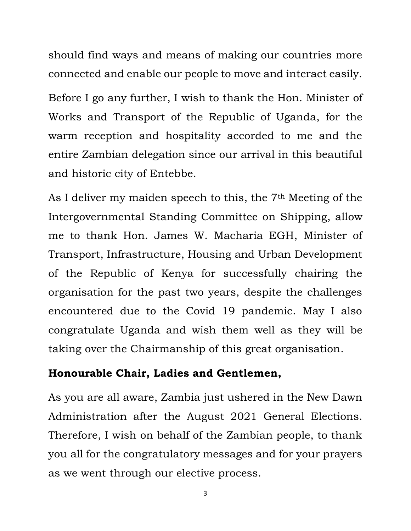should find ways and means of making our countries more connected and enable our people to move and interact easily.

Before I go any further, I wish to thank the Hon. Minister of Works and Transport of the Republic of Uganda, for the warm reception and hospitality accorded to me and the entire Zambian delegation since our arrival in this beautiful and historic city of Entebbe.

As I deliver my maiden speech to this, the 7th Meeting of the Intergovernmental Standing Committee on Shipping, allow me to thank Hon. James W. Macharia EGH, Minister of Transport, Infrastructure, Housing and Urban Development of the Republic of Kenya for successfully chairing the organisation for the past two years, despite the challenges encountered due to the Covid 19 pandemic. May I also congratulate Uganda and wish them well as they will be taking over the Chairmanship of this great organisation.

#### **Honourable Chair, Ladies and Gentlemen,**

As you are all aware, Zambia just ushered in the New Dawn Administration after the August 2021 General Elections. Therefore, I wish on behalf of the Zambian people, to thank you all for the congratulatory messages and for your prayers as we went through our elective process.

3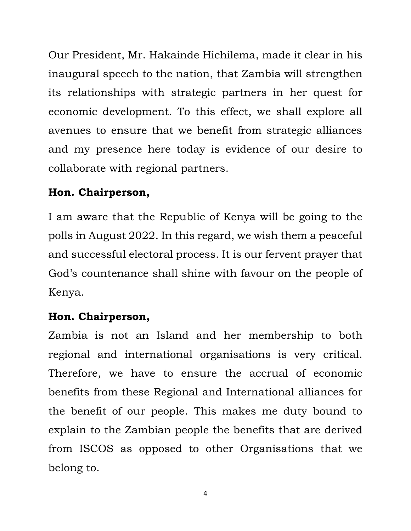Our President, Mr. Hakainde Hichilema, made it clear in his inaugural speech to the nation, that Zambia will strengthen its relationships with strategic partners in her quest for economic development. To this effect, we shall explore all avenues to ensure that we benefit from strategic alliances and my presence here today is evidence of our desire to collaborate with regional partners.

#### **Hon. Chairperson,**

I am aware that the Republic of Kenya will be going to the polls in August 2022. In this regard, we wish them a peaceful and successful electoral process. It is our fervent prayer that God's countenance shall shine with favour on the people of Kenya.

## **Hon. Chairperson,**

Zambia is not an Island and her membership to both regional and international organisations is very critical. Therefore, we have to ensure the accrual of economic benefits from these Regional and International alliances for the benefit of our people. This makes me duty bound to explain to the Zambian people the benefits that are derived from ISCOS as opposed to other Organisations that we belong to.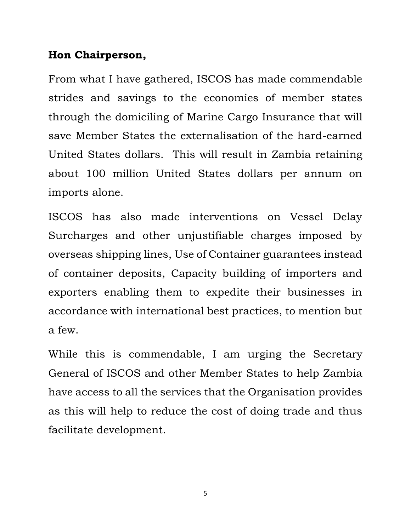#### **Hon Chairperson,**

From what I have gathered, ISCOS has made commendable strides and savings to the economies of member states through the domiciling of Marine Cargo Insurance that will save Member States the externalisation of the hard-earned United States dollars. This will result in Zambia retaining about 100 million United States dollars per annum on imports alone.

ISCOS has also made interventions on Vessel Delay Surcharges and other unjustifiable charges imposed by overseas shipping lines, Use of Container guarantees instead of container deposits, Capacity building of importers and exporters enabling them to expedite their businesses in accordance with international best practices, to mention but a few.

While this is commendable, I am urging the Secretary General of ISCOS and other Member States to help Zambia have access to all the services that the Organisation provides as this will help to reduce the cost of doing trade and thus facilitate development.

5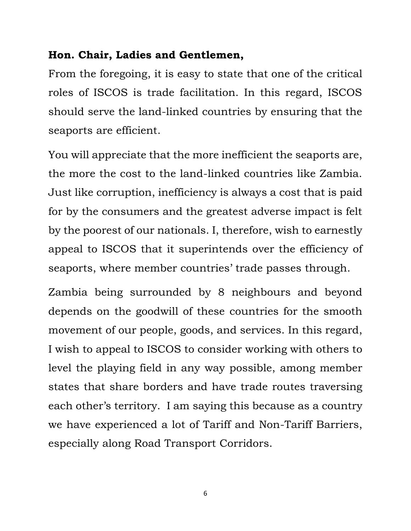#### **Hon. Chair, Ladies and Gentlemen,**

From the foregoing, it is easy to state that one of the critical roles of ISCOS is trade facilitation. In this regard, ISCOS should serve the land-linked countries by ensuring that the seaports are efficient.

You will appreciate that the more inefficient the seaports are, the more the cost to the land-linked countries like Zambia. Just like corruption, inefficiency is always a cost that is paid for by the consumers and the greatest adverse impact is felt by the poorest of our nationals. I, therefore, wish to earnestly appeal to ISCOS that it superintends over the efficiency of seaports, where member countries' trade passes through.

Zambia being surrounded by 8 neighbours and beyond depends on the goodwill of these countries for the smooth movement of our people, goods, and services. In this regard, I wish to appeal to ISCOS to consider working with others to level the playing field in any way possible, among member states that share borders and have trade routes traversing each other's territory. I am saying this because as a country we have experienced a lot of Tariff and Non-Tariff Barriers, especially along Road Transport Corridors.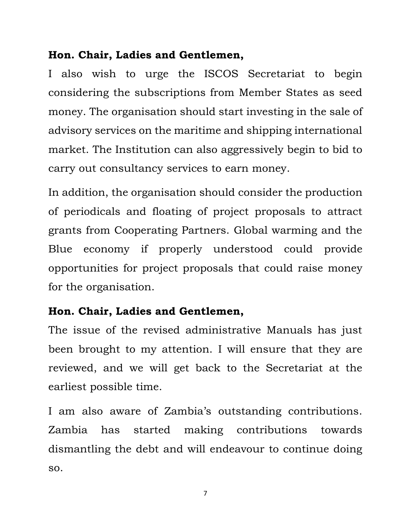## **Hon. Chair, Ladies and Gentlemen,**

I also wish to urge the ISCOS Secretariat to begin considering the subscriptions from Member States as seed money. The organisation should start investing in the sale of advisory services on the maritime and shipping international market. The Institution can also aggressively begin to bid to carry out consultancy services to earn money.

In addition, the organisation should consider the production of periodicals and floating of project proposals to attract grants from Cooperating Partners. Global warming and the Blue economy if properly understood could provide opportunities for project proposals that could raise money for the organisation.

## **Hon. Chair, Ladies and Gentlemen,**

The issue of the revised administrative Manuals has just been brought to my attention. I will ensure that they are reviewed, and we will get back to the Secretariat at the earliest possible time.

I am also aware of Zambia's outstanding contributions. Zambia has started making contributions towards dismantling the debt and will endeavour to continue doing so.

7